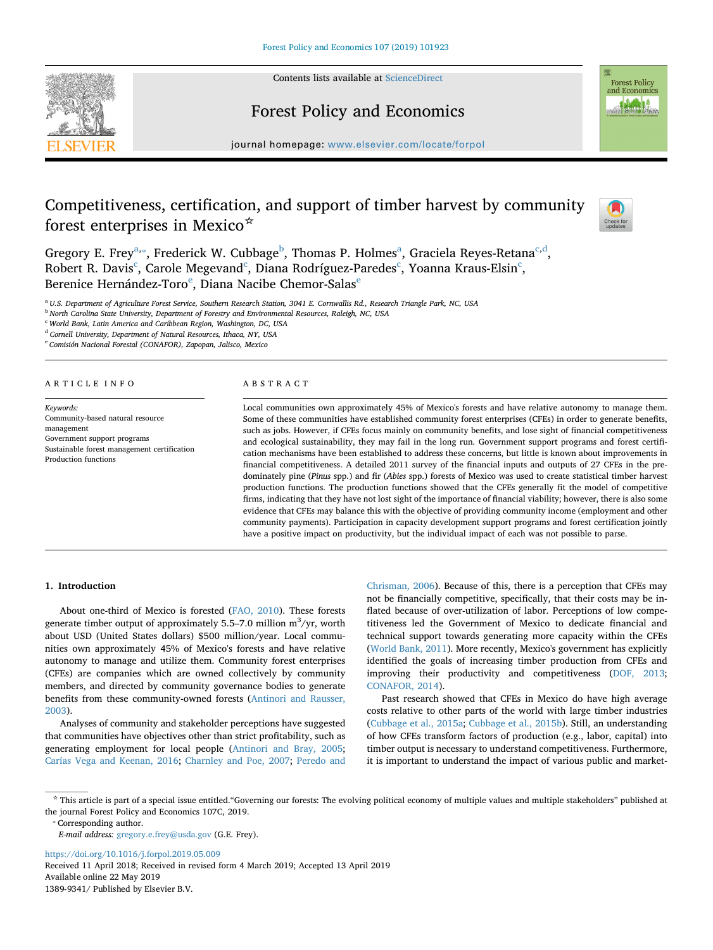

# Forest Policy and Economics

Forest Policy and Econom

journal homepage: [www.elsevier.com/locate/forpol](https://www.elsevier.com/locate/forpol)

# Competitiveness, certification, and support of timber harvest by community forest enterprises in Mexico $\hat{d}$



Gregory E. Frey<sup>[a](#page-0-0),</sup>\*, Frederick W. Cubbage<sup>b</sup>, Thomas P. Holmes<sup>a</sup>, Graciela Reyes-Retana<sup>[c,](#page-0-3)[d](#page-0-4)</sup>, Robert R. Davis $^{\rm c}$  $^{\rm c}$  $^{\rm c}$ , Carole Megevand $^{\rm c}$ , Diana Rodríguez-Paredes $^{\rm c}$ , Yoanna Kraus-Elsin $^{\rm c}$ , B[e](#page-0-5)renice Hernández-Toro<sup>e</sup>, Diana Nacibe Chemor-Salas<sup>e</sup>

<span id="page-0-0"></span><sup>a</sup> *U.S. Department of Agriculture Forest Service, Southern Research Station, 3041 E. Cornwallis Rd., Research Triangle Park, NC, USA*

<span id="page-0-2"></span><sup>b</sup> *North Carolina State University, Department of Forestry and Environmental Resources, Raleigh, NC, USA*

<span id="page-0-3"></span><sup>c</sup> *World Bank, Latin America and Caribbean Region, Washington, DC, USA*

<span id="page-0-4"></span><sup>d</sup> *Cornell University, Department of Natural Resources, Ithaca, NY, USA*

<span id="page-0-5"></span><sup>e</sup> *Comisión Nacional Forestal (CONAFOR), Zapopan, Jalisco, Mexico*

## ARTICLE INFO

*Keywords:* Community-based natural resource management Government support programs Sustainable forest management certification Production functions

#### ABSTRACT

Local communities own approximately 45% of Mexico's forests and have relative autonomy to manage them. Some of these communities have established community forest enterprises (CFEs) in order to generate benefits, such as jobs. However, if CFEs focus mainly on community benefits, and lose sight of financial competitiveness and ecological sustainability, they may fail in the long run. Government support programs and forest certification mechanisms have been established to address these concerns, but little is known about improvements in financial competitiveness. A detailed 2011 survey of the financial inputs and outputs of 27 CFEs in the predominately pine (*Pinus* spp.) and fir (*Abies* spp.) forests of Mexico was used to create statistical timber harvest production functions. The production functions showed that the CFEs generally fit the model of competitive firms, indicating that they have not lost sight of the importance of financial viability; however, there is also some evidence that CFEs may balance this with the objective of providing community income (employment and other community payments). Participation in capacity development support programs and forest certification jointly have a positive impact on productivity, but the individual impact of each was not possible to parse.

#### **1. Introduction**

About one-third of Mexico is forested ([FAO, 2010](#page-10-0)). These forests generate timber output of approximately 5.5–7.0 million  $\text{m}^3\text{/yr, worth}$ about USD (United States dollars) \$500 million/year. Local communities own approximately 45% of Mexico's forests and have relative autonomy to manage and utilize them. Community forest enterprises (CFEs) are companies which are owned collectively by community members, and directed by community governance bodies to generate benefits from these community-owned forests ([Antinori and Rausser,](#page-9-0) [2003\)](#page-9-0).

Analyses of community and stakeholder perceptions have suggested that communities have objectives other than strict profitability, such as generating employment for local people [\(Antinori and Bray, 2005](#page-9-1); [Carías Vega and Keenan, 2016](#page-9-2); [Charnley and Poe, 2007](#page-9-3); [Peredo and](#page-10-1)

[Chrisman, 2006](#page-10-1)). Because of this, there is a perception that CFEs may not be financially competitive, specifically, that their costs may be inflated because of over-utilization of labor. Perceptions of low competitiveness led the Government of Mexico to dedicate financial and technical support towards generating more capacity within the CFEs ([World Bank, 2011\)](#page-10-2). More recently, Mexico's government has explicitly identified the goals of increasing timber production from CFEs and improving their productivity and competitiveness [\(DOF, 2013](#page-10-3); [CONAFOR, 2014\)](#page-9-4).

Past research showed that CFEs in Mexico do have high average costs relative to other parts of the world with large timber industries ([Cubbage et al., 2015a](#page-10-4); [Cubbage et al., 2015b\)](#page-10-5). Still, an understanding of how CFEs transform factors of production (e.g., labor, capital) into timber output is necessary to understand competitiveness. Furthermore, it is important to understand the impact of various public and market-

<span id="page-0-1"></span>⁎ Corresponding author.

*E-mail address:* [gregory.e.frey@usda.gov](mailto:gregory.e.frey@usda.gov) (G.E. Frey).

<https://doi.org/10.1016/j.forpol.2019.05.009> Received 11 April 2018; Received in revised form 4 March 2019; Accepted 13 April 2019 Available online 22 May 2019

1389-9341/ Published by Elsevier B.V.

<sup>☆</sup> This article is part of a special issue entitled."Governing our forests: The evolving political economy of multiple values and multiple stakeholders" published at the journal Forest Policy and Economics 107C, 2019.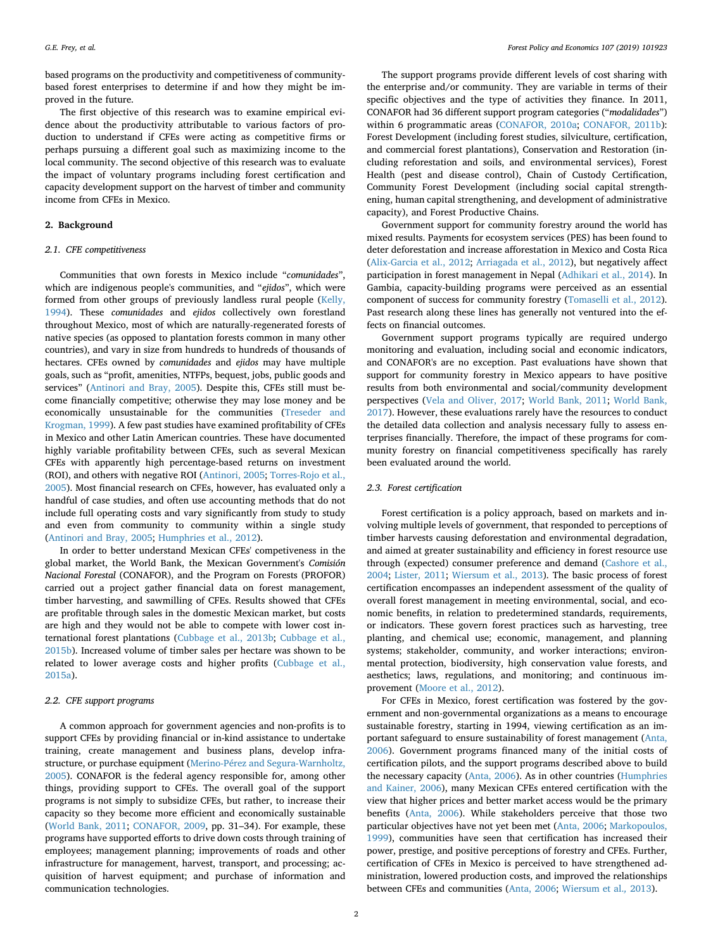based programs on the productivity and competitiveness of communitybased forest enterprises to determine if and how they might be improved in the future.

The first objective of this research was to examine empirical evidence about the productivity attributable to various factors of production to understand if CFEs were acting as competitive firms or perhaps pursuing a different goal such as maximizing income to the local community. The second objective of this research was to evaluate the impact of voluntary programs including forest certification and capacity development support on the harvest of timber and community income from CFEs in Mexico.

#### **2. Background**

#### *2.1. CFE competitiveness*

Communities that own forests in Mexico include "*comunidades*", which are indigenous people's communities, and "*ejidos*", which were formed from other groups of previously landless rural people [\(Kelly,](#page-10-6) [1994\)](#page-10-6). These *comunidades* and *ejidos* collectively own forestland throughout Mexico, most of which are naturally-regenerated forests of native species (as opposed to plantation forests common in many other countries), and vary in size from hundreds to hundreds of thousands of hectares. CFEs owned by *comunidades* and *ejidos* may have multiple goals, such as "profit, amenities, NTFPs, bequest, jobs, public goods and services" [\(Antinori and Bray, 2005](#page-9-1)). Despite this, CFEs still must become financially competitive; otherwise they may lose money and be economically unsustainable for the communities [\(Treseder and](#page-10-7) [Krogman, 1999\)](#page-10-7). A few past studies have examined profitability of CFEs in Mexico and other Latin American countries. These have documented highly variable profitability between CFEs, such as several Mexican CFEs with apparently high percentage-based returns on investment (ROI), and others with negative ROI ([Antinori, 2005](#page-9-5); [Torres-Rojo et al.,](#page-10-8) [2005\)](#page-10-8). Most financial research on CFEs, however, has evaluated only a handful of case studies, and often use accounting methods that do not include full operating costs and vary significantly from study to study and even from community to community within a single study ([Antinori and Bray, 2005](#page-9-1); [Humphries et al., 2012\)](#page-10-9).

In order to better understand Mexican CFEs' competiveness in the global market, the World Bank, the Mexican Government's *Comisión Nacional Forestal* (CONAFOR), and the Program on Forests (PROFOR) carried out a project gather financial data on forest management, timber harvesting, and sawmilling of CFEs. Results showed that CFEs are profitable through sales in the domestic Mexican market, but costs are high and they would not be able to compete with lower cost international forest plantations [\(Cubbage et al., 2013b;](#page-10-10) [Cubbage et al.,](#page-10-5) [2015b\)](#page-10-5). Increased volume of timber sales per hectare was shown to be related to lower average costs and higher profits ([Cubbage et al.,](#page-10-4) [2015a\)](#page-10-4).

# *2.2. CFE support programs*

A common approach for government agencies and non-profits is to support CFEs by providing financial or in-kind assistance to undertake training, create management and business plans, develop infrastructure, or purchase equipment [\(Merino-Pérez and Segura-Warnholtz,](#page-10-11) [2005\)](#page-10-11). CONAFOR is the federal agency responsible for, among other things, providing support to CFEs. The overall goal of the support programs is not simply to subsidize CFEs, but rather, to increase their capacity so they become more efficient and economically sustainable ([World Bank, 2011](#page-10-2); [CONAFOR, 2009,](#page-9-6) pp. 31–34). For example, these programs have supported efforts to drive down costs through training of employees; management planning; improvements of roads and other infrastructure for management, harvest, transport, and processing; acquisition of harvest equipment; and purchase of information and communication technologies.

The support programs provide different levels of cost sharing with the enterprise and/or community. They are variable in terms of their specific objectives and the type of activities they finance. In 2011, CONAFOR had 36 different support program categories ("*modalidades*") within 6 programmatic areas [\(CONAFOR, 2010a](#page-9-7); [CONAFOR, 2011b](#page-9-8)): Forest Development (including forest studies, silviculture, certification, and commercial forest plantations), Conservation and Restoration (including reforestation and soils, and environmental services), Forest Health (pest and disease control), Chain of Custody Certification, Community Forest Development (including social capital strengthening, human capital strengthening, and development of administrative capacity), and Forest Productive Chains.

Government support for community forestry around the world has mixed results. Payments for ecosystem services (PES) has been found to deter deforestation and increase afforestation in Mexico and Costa Rica ([Alix-Garcia et al., 2012;](#page-9-9) [Arriagada et al., 2012](#page-9-10)), but negatively affect participation in forest management in Nepal [\(Adhikari et al., 2014\)](#page-9-11). In Gambia, capacity-building programs were perceived as an essential component of success for community forestry ([Tomaselli et al., 2012](#page-10-12)). Past research along these lines has generally not ventured into the effects on financial outcomes.

Government support programs typically are required undergo monitoring and evaluation, including social and economic indicators, and CONAFOR's are no exception. Past evaluations have shown that support for community forestry in Mexico appears to have positive results from both environmental and social/community development perspectives ([Vela and Oliver, 2017](#page-10-13); [World Bank, 2011](#page-10-2); [World Bank,](#page-10-14) [2017\)](#page-10-14). However, these evaluations rarely have the resources to conduct the detailed data collection and analysis necessary fully to assess enterprises financially. Therefore, the impact of these programs for community forestry on financial competitiveness specifically has rarely been evaluated around the world.

# *2.3. Forest certification*

Forest certification is a policy approach, based on markets and involving multiple levels of government, that responded to perceptions of timber harvests causing deforestation and environmental degradation, and aimed at greater sustainability and efficiency in forest resource use through (expected) consumer preference and demand ([Cashore et al.,](#page-9-12) [2004;](#page-9-12) [Lister, 2011;](#page-10-15) [Wiersum et al., 2013\)](#page-10-16). The basic process of forest certification encompasses an independent assessment of the quality of overall forest management in meeting environmental, social, and economic benefits, in relation to predetermined standards, requirements, or indicators. These govern forest practices such as harvesting, tree planting, and chemical use; economic, management, and planning systems; stakeholder, community, and worker interactions; environmental protection, biodiversity, high conservation value forests, and aesthetics; laws, regulations, and monitoring; and continuous improvement [\(Moore et al., 2012](#page-10-17)).

For CFEs in Mexico, forest certification was fostered by the government and non-governmental organizations as a means to encourage sustainable forestry, starting in 1994, viewing certification as an important safeguard to ensure sustainability of forest management ([Anta,](#page-9-13) [2006\)](#page-9-13). Government programs financed many of the initial costs of certification pilots, and the support programs described above to build the necessary capacity ([Anta, 2006](#page-9-13)). As in other countries ([Humphries](#page-10-18) [and Kainer, 2006\)](#page-10-18), many Mexican CFEs entered certification with the view that higher prices and better market access would be the primary benefits ([Anta, 2006\)](#page-9-13). While stakeholders perceive that those two particular objectives have not yet been met ([Anta, 2006;](#page-9-13) [Markopoulos,](#page-10-19) [1999\)](#page-10-19), communities have seen that certification has increased their power, prestige, and positive perceptions of forestry and CFEs. Further, certification of CFEs in Mexico is perceived to have strengthened administration, lowered production costs, and improved the relationships between CFEs and communities [\(Anta, 2006;](#page-9-13) [Wiersum et al.](#page-10-3)*,* 2013).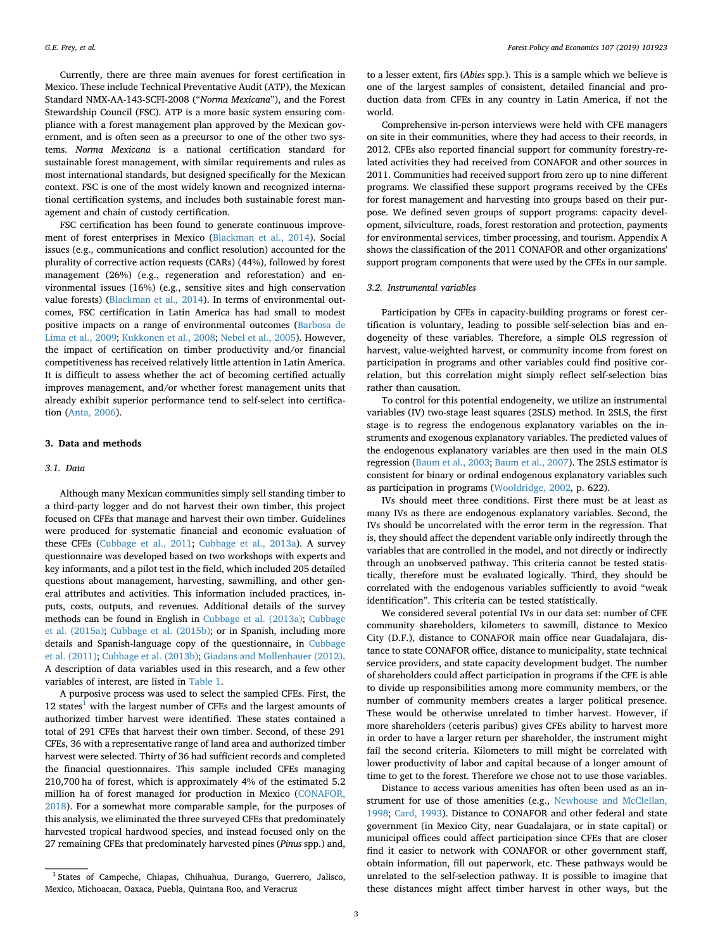Currently, there are three main avenues for forest certification in Mexico. These include Technical Preventative Audit (ATP), the Mexican Standard NMX-AA-143-SCFI-2008 ("*Norma Mexicana*"), and the Forest Stewardship Council (FSC). ATP is a more basic system ensuring compliance with a forest management plan approved by the Mexican government, and is often seen as a precursor to one of the other two systems. *Norma Mexicana* is a national certification standard for sustainable forest management, with similar requirements and rules as most international standards, but designed specifically for the Mexican context. FSC is one of the most widely known and recognized international certification systems, and includes both sustainable forest management and chain of custody certification.

FSC certification has been found to generate continuous improvement of forest enterprises in Mexico ([Blackman et al., 2014\)](#page-9-14). Social issues (e.g., communications and conflict resolution) accounted for the plurality of corrective action requests (CARs) (44%), followed by forest management (26%) (e.g., regeneration and reforestation) and environmental issues (16%) (e.g., sensitive sites and high conservation value forests) [\(Blackman et al.](#page-9-4)*,* 2014). In terms of environmental outcomes, FSC certification in Latin America has had small to modest positive impacts on a range of environmental outcomes ([Barbosa de](#page-9-15) [Lima et al., 2009;](#page-9-15) [Kukkonen et al., 2008;](#page-10-20) [Nebel et al., 2005](#page-10-21)). However, the impact of certification on timber productivity and/or financial competitiveness has received relatively little attention in Latin America. It is difficult to assess whether the act of becoming certified actually improves management, and/or whether forest management units that already exhibit superior performance tend to self-select into certification [\(Anta, 2006\)](#page-9-13).

# **3. Data and methods**

#### *3.1. Data*

Although many Mexican communities simply sell standing timber to a third-party logger and do not harvest their own timber, this project focused on CFEs that manage and harvest their own timber. Guidelines were produced for systematic financial and economic evaluation of these CFEs [\(Cubbage et al., 2011](#page-10-22); [Cubbage et al., 2013a\)](#page-10-23). A survey questionnaire was developed based on two workshops with experts and key informants, and a pilot test in the field, which included 205 detailed questions about management, harvesting, sawmilling, and other general attributes and activities. This information included practices, inputs, costs, outputs, and revenues. Additional details of the survey methods can be found in English in [Cubbage et al. \(2013a\);](#page-10-23) [Cubbage](#page-10-4) [et al. \(2015a\)](#page-10-4); [Cubbage et al. \(2015b\);](#page-10-5) or in Spanish, including more details and Spanish-language copy of the questionnaire, in [Cubbage](#page-10-22) [et al. \(2011\)](#page-10-22); [Cubbage et al. \(2013b\);](#page-10-10) [Giadans and Mollenhauer \(2012\)](#page-10-24). A description of data variables used in this research, and a few other variables of interest, are listed in [Table 1.](#page-3-0)

A purposive process was used to select the sampled CFEs. First, the [1](#page-2-0)2 states<sup>1</sup> with the largest number of CFEs and the largest amounts of authorized timber harvest were identified. These states contained a total of 291 CFEs that harvest their own timber. Second, of these 291 CFEs, 36 with a representative range of land area and authorized timber harvest were selected. Thirty of 36 had sufficient records and completed the financial questionnaires. This sample included CFEs managing 210,700 ha of forest, which is approximately 4% of the estimated 5.2 million ha of forest managed for production in Mexico [\(CONAFOR,](#page-10-25) [2018\)](#page-10-25). For a somewhat more comparable sample, for the purposes of this analysis, we eliminated the three surveyed CFEs that predominately harvested tropical hardwood species, and instead focused only on the 27 remaining CFEs that predominately harvested pines (*Pinus* spp.) and,

to a lesser extent, firs (*Abies* spp.). This is a sample which we believe is one of the largest samples of consistent, detailed financial and production data from CFEs in any country in Latin America, if not the world.

Comprehensive in-person interviews were held with CFE managers on site in their communities, where they had access to their records, in 2012. CFEs also reported financial support for community forestry-related activities they had received from CONAFOR and other sources in 2011. Communities had received support from zero up to nine different programs. We classified these support programs received by the CFEs for forest management and harvesting into groups based on their purpose. We defined seven groups of support programs: capacity development, silviculture, roads, forest restoration and protection, payments for environmental services, timber processing, and tourism. Appendix A shows the classification of the 2011 CONAFOR and other organizations' support program components that were used by the CFEs in our sample.

## *3.2. Instrumental variables*

Participation by CFEs in capacity-building programs or forest certification is voluntary, leading to possible self-selection bias and endogeneity of these variables. Therefore, a simple OLS regression of harvest, value-weighted harvest, or community income from forest on participation in programs and other variables could find positive correlation, but this correlation might simply reflect self-selection bias rather than causation.

To control for this potential endogeneity, we utilize an instrumental variables (IV) two-stage least squares (2SLS) method. In 2SLS, the first stage is to regress the endogenous explanatory variables on the instruments and exogenous explanatory variables. The predicted values of the endogenous explanatory variables are then used in the main OLS regression [\(Baum et al., 2003](#page-9-16); [Baum et al., 2007](#page-9-17)). The 2SLS estimator is consistent for binary or ordinal endogenous explanatory variables such as participation in programs ([Wooldridge, 2002,](#page-10-26) p. 622).

IVs should meet three conditions. First there must be at least as many IVs as there are endogenous explanatory variables. Second, the IVs should be uncorrelated with the error term in the regression. That is, they should affect the dependent variable only indirectly through the variables that are controlled in the model, and not directly or indirectly through an unobserved pathway. This criteria cannot be tested statistically, therefore must be evaluated logically. Third, they should be correlated with the endogenous variables sufficiently to avoid "weak identification". This criteria can be tested statistically.

We considered several potential IVs in our data set: number of CFE community shareholders, kilometers to sawmill, distance to Mexico City (D.F.), distance to CONAFOR main office near Guadalajara, distance to state CONAFOR office, distance to municipality, state technical service providers, and state capacity development budget. The number of shareholders could affect participation in programs if the CFE is able to divide up responsibilities among more community members, or the number of community members creates a larger political presence. These would be otherwise unrelated to timber harvest. However, if more shareholders (ceteris paribus) gives CFEs ability to harvest more in order to have a larger return per shareholder, the instrument might fail the second criteria. Kilometers to mill might be correlated with lower productivity of labor and capital because of a longer amount of time to get to the forest. Therefore we chose not to use those variables.

Distance to access various amenities has often been used as an instrument for use of those amenities (e.g., [Newhouse and McClellan,](#page-10-27) [1998;](#page-10-27) [Card, 1993](#page-9-18)). Distance to CONAFOR and other federal and state government (in Mexico City, near Guadalajara, or in state capital) or municipal offices could affect participation since CFEs that are closer find it easier to network with CONAFOR or other government staff, obtain information, fill out paperwork, etc. These pathways would be unrelated to the self-selection pathway. It is possible to imagine that these distances might affect timber harvest in other ways, but the

<span id="page-2-0"></span><sup>&</sup>lt;sup>1</sup> States of Campeche, Chiapas, Chihuahua, Durango, Guerrero, Jalisco, Mexico, Michoacan, Oaxaca, Puebla, Quintana Roo, and Veracruz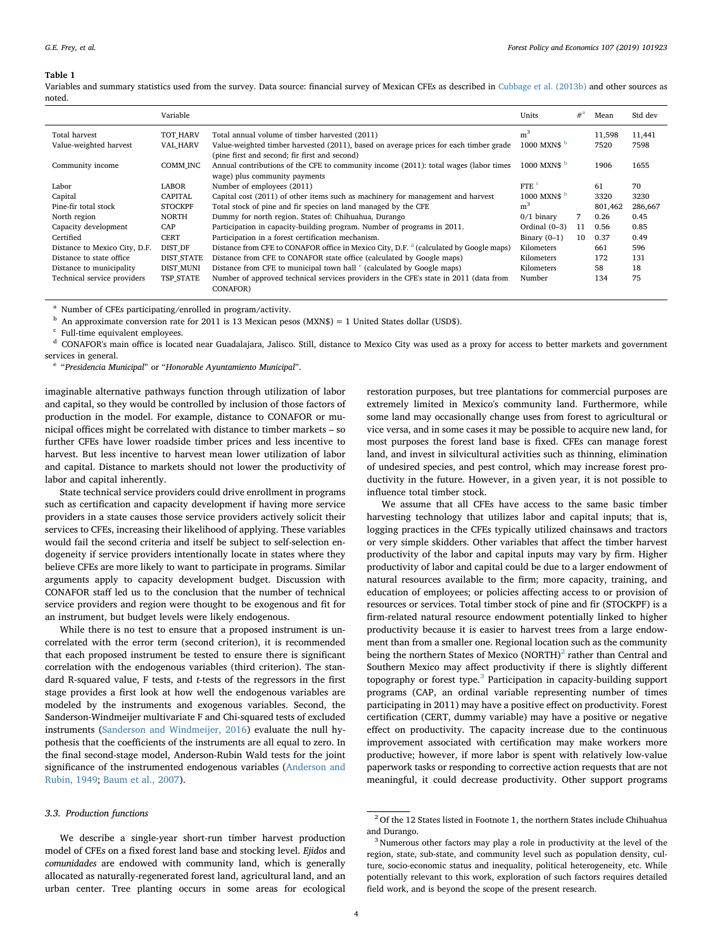#### <span id="page-3-0"></span>**Table 1**

Variables and summary statistics used from the survey. Data source: financial survey of Mexican CFEs as described in [Cubbage et al. \(2013b\)](#page-10-10) and other sources as noted.

|                               | Variable          |                                                                                                           | Units             | $#^a$ | Mean    | Std dev |
|-------------------------------|-------------------|-----------------------------------------------------------------------------------------------------------|-------------------|-------|---------|---------|
| Total harvest                 | <b>TOT HARV</b>   | Total annual volume of timber harvested (2011)                                                            | m <sup>3</sup>    |       | 11,598  | 11,441  |
| Value-weighted harvest        | <b>VAL HARV</b>   | Value-weighted timber harvested (2011), based on average prices for each timber grade                     | 1000 MXN\$ b      |       | 7520    | 7598    |
|                               |                   | (pine first and second; fir first and second)                                                             |                   |       |         |         |
| Community income              | COMM INC          | Annual contributions of the CFE to community income (2011): total wages (labor times                      | 1000 MXN\$ b      |       | 1906    | 1655    |
|                               |                   | wage) plus community payments                                                                             |                   |       |         |         |
| Labor                         | <b>LABOR</b>      | Number of employees (2011)                                                                                | FTE <sup>c</sup>  |       | 61      | 70      |
| Capital                       | <b>CAPITAL</b>    | Capital cost (2011) of other items such as machinery for management and harvest                           | 1000 MXN\$        |       | 3320    | 3230    |
| Pine-fir total stock          | <b>STOCKPF</b>    | Total stock of pine and fir species on land managed by the CFE                                            | m <sup>3</sup>    |       | 801,462 | 286,667 |
| North region                  | NORTH             | Dummy for north region. States of: Chihuahua, Durango                                                     | $0/1$ binary      | 7     | 0.26    | 0.45    |
| Capacity development          | CAP               | Participation in capacity-building program. Number of programs in 2011.                                   | Ordinal (0-3)     | 11    | 0.56    | 0.85    |
| Certified                     | <b>CERT</b>       | Participation in a forest certification mechanism.                                                        | Binary $(0-1)$    | 10    | 0.37    | 0.49    |
| Distance to Mexico City, D.F. | DIST DF           | Distance from CFE to CONAFOR office in Mexico City, D.F. <sup>d</sup> (calculated by Google maps)         | Kilometers        |       | 661     | 596     |
| Distance to state office      | <b>DIST STATE</b> | Distance from CFE to CONAFOR state office (calculated by Google maps)                                     | <b>Kilometers</b> |       | 172     | 131     |
| Distance to municipality      | <b>DIST MUNI</b>  | Distance from CFE to municipal town hall $\epsilon$ (calculated by Google maps)                           | Kilometers        |       | 58      | 18      |
| Technical service providers   | <b>TSP STATE</b>  | Number of approved technical services providers in the CFE's state in 2011 (data from<br><b>CONAFOR</b> ) | Number            |       | 134     | 75      |

<span id="page-3-3"></span>Number of CFEs participating/enrolled in program/activity.

<span id="page-3-4"></span><sup>b</sup> An approximate conversion rate for 2011 is 13 Mexican pesos (MXN\$) = 1 United States dollar (USD\$).

<span id="page-3-5"></span><sup>c</sup> Full-time equivalent employees.

<span id="page-3-6"></span><sup>d</sup> CONAFOR's main office is located near Guadalajara, Jalisco. Still, distance to Mexico City was used as a proxy for access to better markets and government services in general.

<span id="page-3-7"></span><sup>e</sup> "*Presidencia Municipal*" or "*Honorable Ayuntamiento Municipal*".

imaginable alternative pathways function through utilization of labor and capital, so they would be controlled by inclusion of those factors of production in the model. For example, distance to CONAFOR or municipal offices might be correlated with distance to timber markets – so further CFEs have lower roadside timber prices and less incentive to harvest. But less incentive to harvest mean lower utilization of labor and capital. Distance to markets should not lower the productivity of labor and capital inherently.

State technical service providers could drive enrollment in programs such as certification and capacity development if having more service providers in a state causes those service providers actively solicit their services to CFEs, increasing their likelihood of applying. These variables would fail the second criteria and itself be subject to self-selection endogeneity if service providers intentionally locate in states where they believe CFEs are more likely to want to participate in programs. Similar arguments apply to capacity development budget. Discussion with CONAFOR staff led us to the conclusion that the number of technical service providers and region were thought to be exogenous and fit for an instrument, but budget levels were likely endogenous.

While there is no test to ensure that a proposed instrument is uncorrelated with the error term (second criterion), it is recommended that each proposed instrument be tested to ensure there is significant correlation with the endogenous variables (third criterion). The standard R-squared value, F tests, and *t*-tests of the regressors in the first stage provides a first look at how well the endogenous variables are modeled by the instruments and exogenous variables. Second, the Sanderson-Windmeijer multivariate F and Chi-squared tests of excluded instruments [\(Sanderson and Windmeijer, 2016](#page-10-28)) evaluate the null hypothesis that the coefficients of the instruments are all equal to zero. In the final second-stage model, Anderson-Rubin Wald tests for the joint significance of the instrumented endogenous variables [\(Anderson and](#page-9-19) [Rubin, 1949;](#page-9-19) [Baum et al., 2007\)](#page-9-17).

#### *3.3. Production functions*

We describe a single-year short-run timber harvest production model of CFEs on a fixed forest land base and stocking level. *Ejidos* and *comunidades* are endowed with community land, which is generally allocated as naturally-regenerated forest land, agricultural land, and an urban center. Tree planting occurs in some areas for ecological restoration purposes, but tree plantations for commercial purposes are extremely limited in Mexico's community land. Furthermore, while some land may occasionally change uses from forest to agricultural or vice versa, and in some cases it may be possible to acquire new land, for most purposes the forest land base is fixed. CFEs can manage forest land, and invest in silvicultural activities such as thinning, elimination of undesired species, and pest control, which may increase forest productivity in the future. However, in a given year, it is not possible to influence total timber stock.

We assume that all CFEs have access to the same basic timber harvesting technology that utilizes labor and capital inputs; that is, logging practices in the CFEs typically utilized chainsaws and tractors or very simple skidders. Other variables that affect the timber harvest productivity of the labor and capital inputs may vary by firm. Higher productivity of labor and capital could be due to a larger endowment of natural resources available to the firm; more capacity, training, and education of employees; or policies affecting access to or provision of resources or services. Total timber stock of pine and fir (STOCKPF) is a firm-related natural resource endowment potentially linked to higher productivity because it is easier to harvest trees from a large endowment than from a smaller one. Regional location such as the community being the northern States of Mexico (NORTH)<sup>[2](#page-3-1)</sup> rather than Central and Southern Mexico may affect productivity if there is slightly different topography or forest type. $3$  Participation in capacity-building support programs (CAP, an ordinal variable representing number of times participating in 2011) may have a positive effect on productivity. Forest certification (CERT, dummy variable) may have a positive or negative effect on productivity. The capacity increase due to the continuous improvement associated with certification may make workers more productive; however, if more labor is spent with relatively low-value paperwork tasks or responding to corrective action requests that are not meaningful, it could decrease productivity. Other support programs

<span id="page-3-1"></span> $^2$  Of the 12 States listed in Footnote 1, the northern States include Chihuahua and Durango.

<span id="page-3-2"></span><sup>&</sup>lt;sup>3</sup> Numerous other factors may play a role in productivity at the level of the region, state, sub-state, and community level such as population density, culture, socio-economic status and inequality, political heterogeneity, etc. While potentially relevant to this work, exploration of such factors requires detailed field work, and is beyond the scope of the present research.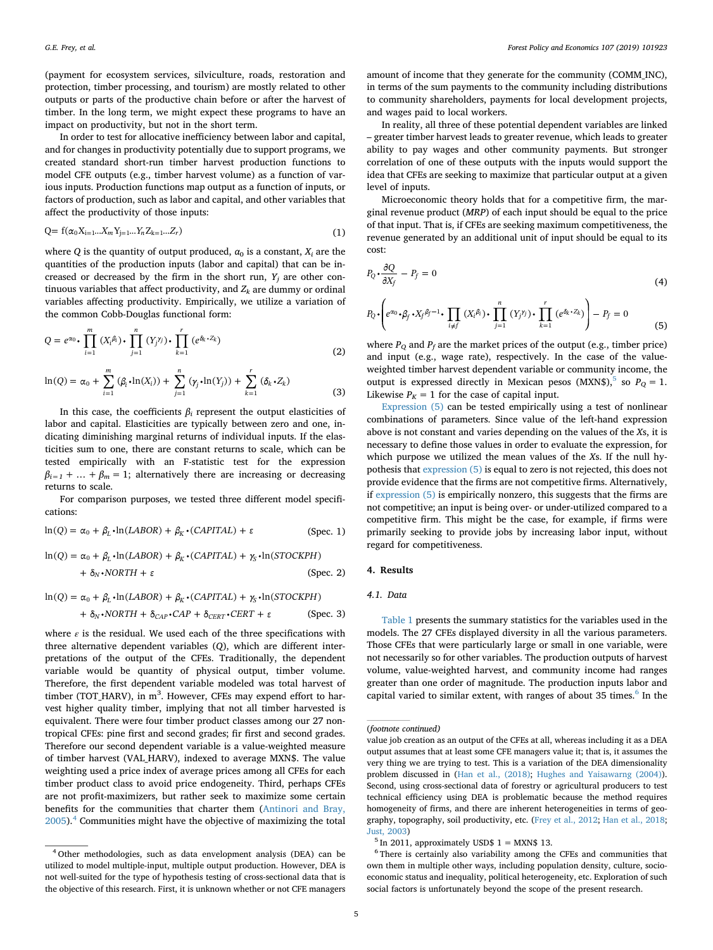(payment for ecosystem services, silviculture, roads, restoration and protection, timber processing, and tourism) are mostly related to other outputs or parts of the productive chain before or after the harvest of timber. In the long term, we might expect these programs to have an impact on productivity, but not in the short term.

In order to test for allocative inefficiency between labor and capital, and for changes in productivity potentially due to support programs, we created standard short-run timber harvest production functions to model CFE outputs (e.g., timber harvest volume) as a function of various inputs. Production functions map output as a function of inputs, or factors of production, such as labor and capital, and other variables that affect the productivity of those inputs:

$$
Q = f(\alpha_0 X_{i=1}...X_m Y_{j=1}...Y_n Z_{k=1}...Z_r)
$$
\n(1)

where *Q* is the quantity of output produced,  $\alpha_0$  is a constant,  $X_i$  are the quantities of the production inputs (labor and capital) that can be increased or decreased by the firm in the short run,  $Y_i$  are other continuous variables that affect productivity, and  $Z_k$  are dummy or ordinal variables affecting productivity. Empirically, we utilize a variation of the common Cobb-Douglas functional form:

$$
Q = e^{\alpha_0} \cdot \prod_{i=1}^{m} (X_i^{\beta_i}) \cdot \prod_{j=1}^{n} (Y_j^{\gamma_j}) \cdot \prod_{k=1}^{r} (e^{\delta_k \cdot Z_k})
$$
\n(2)

$$
\ln(Q) = \alpha_0 + \sum_{i=1}^{m} (\beta_i \cdot \ln(X_i)) + \sum_{j=1}^{n} (\gamma_j \cdot \ln(Y_j)) + \sum_{k=1}^{r} (\delta_k \cdot Z_k)
$$
(3)

In this case, the coefficients  $\beta_i$  represent the output elasticities of labor and capital. Elasticities are typically between zero and one, indicating diminishing marginal returns of individual inputs. If the elasticities sum to one, there are constant returns to scale, which can be tested empirically with an F-statistic test for the expression  $\beta_{i=1} + ... + \beta_m = 1$ ; alternatively there are increasing or decreasing returns to scale.

For comparison purposes, we tested three different model specifications:

$$
\ln(Q) = \alpha_0 + \beta_L \cdot \ln(LABOR) + \beta_K \cdot (CAPITAL) + \varepsilon
$$
 (Spec. 1)

$$
\ln(Q) = \alpha_0 + \beta_L \cdot \ln(LABOR) + \beta_K \cdot (CAPITAL) + \gamma_S \cdot \ln(STOCKPH)
$$
  
+  $\delta_N \cdot NORTH + \varepsilon$  (Spec. 2)

$$
\ln(Q) = \alpha_0 + \beta_L \cdot \ln(LABOR) + \beta_K \cdot (CAPITAL) + \gamma_S \cdot \ln(STOCKPH)
$$
  
+  $\delta_N \cdot NORTH + \delta_{CAP} \cdot CAP + \delta_{CERT} \cdot CERT + \varepsilon$  (Spec. 3)

where  $\varepsilon$  is the residual. We used each of the three specifications with three alternative dependent variables (*Q*), which are different interpretations of the output of the CFEs. Traditionally, the dependent variable would be quantity of physical output, timber volume. Therefore, the first dependent variable modeled was total harvest of timber (TOT\_HARV), in m<sup>3</sup>. However, CFEs may expend effort to harvest higher quality timber, implying that not all timber harvested is equivalent. There were four timber product classes among our 27 nontropical CFEs: pine first and second grades; fir first and second grades. Therefore our second dependent variable is a value-weighted measure of timber harvest (VAL\_HARV), indexed to average MXN\$. The value weighting used a price index of average prices among all CFEs for each timber product class to avoid price endogeneity. Third, perhaps CFEs are not profit-maximizers, but rather seek to maximize some certain benefits for the communities that charter them ([Antinori and Bray,](#page-9-1) [2005\)](#page-9-1).[4](#page-4-0) Communities might have the objective of maximizing the total

amount of income that they generate for the community (COMM\_INC), in terms of the sum payments to the community including distributions to community shareholders, payments for local development projects, and wages paid to local workers.

In reality, all three of these potential dependent variables are linked – greater timber harvest leads to greater revenue, which leads to greater ability to pay wages and other community payments. But stronger correlation of one of these outputs with the inputs would support the idea that CFEs are seeking to maximize that particular output at a given level of inputs.

Microeconomic theory holds that for a competitive firm, the marginal revenue product (*MRP*) of each input should be equal to the price of that input. That is, if CFEs are seeking maximum competitiveness, the revenue generated by an additional unit of input should be equal to its cost:

<span id="page-4-2"></span>
$$
P_Q \cdot \frac{\partial Q}{\partial X_f} - P_f = 0
$$
\n
$$
P_Q \cdot \left( e^{\alpha_0} \cdot \beta_f \cdot X_f \beta_f^{-1} \cdot \prod_{i \neq f} (X_i \beta_i) \cdot \prod_{j=1}^n (Y_j \gamma_j) \cdot \prod_{k=1}^r (e^{\delta_k \cdot Z_k}) \right) - P_f = 0
$$
\n(4)

 $j=1$   $k=$ 

1 1

*k*

where  $P_Q$  and  $P_f$  are the market prices of the output (e.g., timber price) and input (e.g., wage rate), respectively. In the case of the valueweighted timber harvest dependent variable or community income, the output is expressed directly in Mexican pesos (MXN\$),<sup>[5](#page-4-1)</sup> so  $P_Q = 1$ . Likewise  $P_K = 1$  for the case of capital input.

[Expression \(5\)](#page-4-2) can be tested empirically using a test of nonlinear combinations of parameters. Since value of the left-hand expression above is not constant and varies depending on the values of the *X*s, it is necessary to define those values in order to evaluate the expression, for which purpose we utilized the mean values of the *X*s. If the null hypothesis that [expression \(5\)](#page-4-2) is equal to zero is not rejected, this does not provide evidence that the firms are not competitive firms. Alternatively, if [expression \(5\)](#page-4-2) is empirically nonzero, this suggests that the firms are not competitive; an input is being over- or under-utilized compared to a competitive firm. This might be the case, for example, if firms were primarily seeking to provide jobs by increasing labor input, without regard for competitiveness.

#### **4. Results**

# *4.1. Data*

[Table 1](#page-3-0) presents the summary statistics for the variables used in the models. The 27 CFEs displayed diversity in all the various parameters. Those CFEs that were particularly large or small in one variable, were not necessarily so for other variables. The production outputs of harvest volume, value-weighted harvest, and community income had ranges greater than one order of magnitude. The production inputs labor and capital varied to similar extent, with ranges of about 35 times.<sup>[6](#page-4-3)</sup> In the

<span id="page-4-0"></span><sup>4</sup> Other methodologies, such as data envelopment analysis (DEA) can be utilized to model multiple-input, multiple output production. However, DEA is not well-suited for the type of hypothesis testing of cross-sectional data that is the objective of this research. First, it is unknown whether or not CFE managers

<sup>(</sup>*footnote continued)*

value job creation as an output of the CFEs at all, whereas including it as a DEA output assumes that at least some CFE managers value it; that is, it assumes the very thing we are trying to test. This is a variation of the DEA dimensionality problem discussed in [\(Han et al., \(2018\)](#page-10-29); [Hughes and Yaisawarng \(2004\)\)](#page-10-30). Second, using cross-sectional data of forestry or agricultural producers to test technical efficiency using DEA is problematic because the method requires homogeneity of firms, and there are inherent heterogeneities in terms of geography, topography, soil productivity, etc. ([Frey et al., 2012;](#page-10-31) [Han et al., 2018;](#page-10-29) [Just, 2003\)](#page-10-32)

<span id="page-4-1"></span> $5$  In 2011, approximately USD\$ 1 = MXN\$ 13.

<span id="page-4-3"></span><sup>6</sup> There is certainly also variability among the CFEs and communities that own them in multiple other ways, including population density, culture, socioeconomic status and inequality, political heterogeneity, etc. Exploration of such social factors is unfortunately beyond the scope of the present research.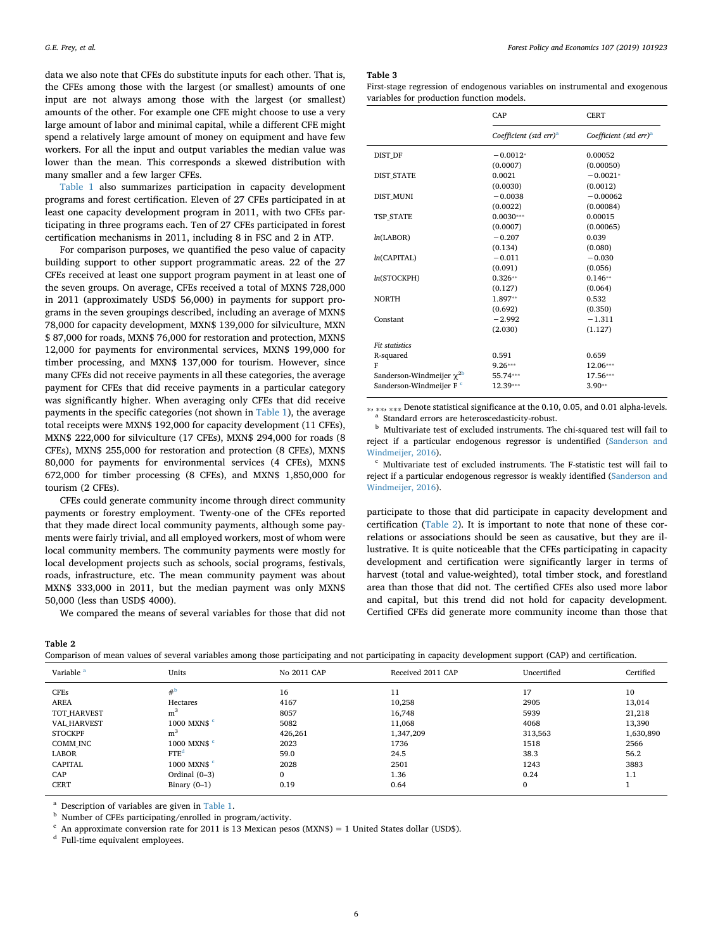data we also note that CFEs do substitute inputs for each other. That the CFEs among those with the largest (or smallest) amounts of one input are not always among those with the largest (or smallest) amounts of the other. For example one CFE might choose to use a very large amount of labor and minimal capital, while a different CFE might spend a relatively large amount of money on equipment and have few workers. For all the input and output variables the median value was lower than the mean. This corresponds a skewed distribution with many smaller and a few larger CFEs.

[Table 1](#page-3-0) also summarizes participation in capacity development programs and forest certification. Eleven of 27 CFEs participated in at least one capacity development program in 2011, with two CFEs participating in three programs each. Ten of 27 CFEs participated in forest certification mechanisms in 2011, including 8 in FSC and 2 in ATP.

For comparison purposes, we quantified the peso value of capacity building support to other support programmatic areas. 22 of the 27 CFEs received at least one support program payment in at least one of the seven groups. On average, CFEs received a total of MXN\$ 728,000 in 2011 (approximately USD\$ 56,000) in payments for support programs in the seven groupings described, including an average of MXN\$ 78,000 for capacity development, MXN\$ 139,000 for silviculture, MXN \$ 87,000 for roads, MXN\$ 76,000 for restoration and protection, MXN\$ 12,000 for payments for environmental services, MXN\$ 199,000 for timber processing, and MXN\$ 137,000 for tourism. However, since many CFEs did not receive payments in all these categories, the average payment for CFEs that did receive payments in a particular category was significantly higher. When averaging only CFEs that did receive payments in the specific categories (not shown in [Table 1](#page-3-0)), the average total receipts were MXN\$ 192,000 for capacity development (11 CFEs), MXN\$ 222,000 for silviculture (17 CFEs), MXN\$ 294,000 for roads (8 CFEs), MXN\$ 255,000 for restoration and protection (8 CFEs), MXN\$ 80,000 for payments for environmental services (4 CFEs), MXN\$ 672,000 for timber processing (8 CFEs), and MXN\$ 1,850,000 for tourism (2 CFEs).

CFEs could generate community income through direct community payments or forestry employment. Twenty-one of the CFEs reported that they made direct local community payments, although some payments were fairly trivial, and all employed workers, most of whom were local community members. The community payments were mostly for local development projects such as schools, social programs, festivals, roads, infrastructure, etc. The mean community payment was about MXN\$ 333,000 in 2011, but the median payment was only MXN\$ 50,000 (less than USD\$ 4000).

We compared the means of several variables for those that did not

#### <span id="page-5-0"></span>**Table 2**

|  | Comparison of mean values of several variables among those participating and not participating in capacity development support (CAP) and certification. |  |  |  |  |  |  |  |  |  |
|--|---------------------------------------------------------------------------------------------------------------------------------------------------------|--|--|--|--|--|--|--|--|--|
|--|---------------------------------------------------------------------------------------------------------------------------------------------------------|--|--|--|--|--|--|--|--|--|

| at is. | Table 3                                                                      |
|--------|------------------------------------------------------------------------------|
| ∵ ∩ne  | First-stage regression of endogenous variables on instrumental and exogenous |

<span id="page-5-8"></span>variables for production function models.

|                                  | CAP                                | <b>CERT</b>                        |
|----------------------------------|------------------------------------|------------------------------------|
|                                  | Coefficient (std err) <sup>a</sup> | Coefficient (std err) <sup>a</sup> |
| DIST DF                          | $-0.0012*$                         | 0.00052                            |
|                                  | (0.0007)                           | (0.00050)                          |
| <b>DIST STATE</b>                | 0.0021                             | $-0.0021*$                         |
|                                  | (0.0030)                           | (0.0012)                           |
| <b>DIST MUNI</b>                 | $-0.0038$                          | $-0.00062$                         |
|                                  | (0.0022)                           | (0.00084)                          |
| <b>TSP STATE</b>                 | $0.0030***$                        | 0.00015                            |
|                                  | (0.0007)                           | (0.00065)                          |
| ln(LABOR)                        | $-0.207$                           | 0.039                              |
|                                  | (0.134)                            | (0.080)                            |
| ln(CAPITAL)                      | $-0.011$                           | $-0.030$                           |
|                                  | (0.091)                            | (0.056)                            |
| ln(STOCKPH)                      | $0.326**$                          | $0.146**$                          |
|                                  | (0.127)                            | (0.064)                            |
| <b>NORTH</b>                     | 1.897**                            | 0.532                              |
|                                  | (0.692)                            | (0.350)                            |
| Constant                         | $-2.992$                           | $-1.311$                           |
|                                  | (2.030)                            | (1.127)                            |
| <b>Fit statistics</b>            |                                    |                                    |
| R-squared                        | 0.591                              | 0.659                              |
| F                                | $9.26***$                          | 12.06***                           |
| Sanderson-Windmeijer $\chi^{2b}$ | 55.74***                           | 17.56***                           |
| Sanderson-Windmeijer F c         | 12.39***                           | $3.90**$                           |
|                                  |                                    |                                    |

<span id="page-5-5"></span>⁎, ⁎⁎, ⁎⁎⁎ Denote statistical significance at the 0.10, 0.05, and 0.01 alpha-levels. Standard errors are heteroscedasticity-robust.

<span id="page-5-6"></span> $^{\rm b}$  Multivariate test of excluded instruments. The chi-squared test will fail to reject if a particular endogenous regressor is undentified ([Sanderson and](#page-10-28) [Windmeijer, 2016](#page-10-28)).

<span id="page-5-7"></span><sup>c</sup> Multivariate test of excluded instruments. The F-statistic test will fail to reject if a particular endogenous regressor is weakly identified [\(Sanderson and](#page-10-28) [Windmeijer, 2016](#page-10-28)).

participate to those that did participate in capacity development and certification [\(Table 2](#page-5-0)). It is important to note that none of these correlations or associations should be seen as causative, but they are illustrative. It is quite noticeable that the CFEs participating in capacity development and certification were significantly larger in terms of harvest (total and value-weighted), total timber stock, and forestland area than those that did not. The certified CFEs also used more labor and capital, but this trend did not hold for capacity development. Certified CFEs did generate more community income than those that

| Variable <sup>a</sup> | Units                   | No 2011 CAP  | Received 2011 CAP | Uncertified | Certified |
|-----------------------|-------------------------|--------------|-------------------|-------------|-----------|
| <b>CFEs</b>           | $#^b$                   | 16           | 11                | 17          | 10        |
| <b>AREA</b>           | Hectares                | 4167         | 10,258            | 2905        | 13,014    |
| TOT HARVEST           | m <sup>3</sup>          | 8057         | 16,748            | 5939        | 21,218    |
| <b>VAL HARVEST</b>    | 1000 MXN\$ <sup>c</sup> | 5082         | 11,068            | 4068        | 13,390    |
| <b>STOCKPF</b>        | m <sup>3</sup>          | 426,261      | 1,347,209         | 313,563     | 1,630,890 |
| COMM INC              | $1000$ MXN\$ $\degree$  | 2023         | 1736              | 1518        | 2566      |
| LABOR                 | FTE <sup>d</sup>        | 59.0         | 24.5              | 38.3        | 56.2      |
| CAPITAL               | 1000 MXN\$ c            | 2028         | 2501              | 1243        | 3883      |
| CAP                   | Ordinal $(0-3)$         | $\mathbf{0}$ | 1.36              | 0.24        | 1.1       |
| <b>CERT</b>           | Binary $(0-1)$          | 0.19         | 0.64              | 0           |           |

<span id="page-5-1"></span>Description of variables are given in [Table 1](#page-3-0).

<span id="page-5-2"></span><sup>b</sup> Number of CFEs participating/enrolled in program/activity.

<span id="page-5-3"></span> $c$  An approximate conversion rate for 2011 is 13 Mexican pesos (MXN\$) = 1 United States dollar (USD\$).

<span id="page-5-4"></span><sup>d</sup> Full-time equivalent employees.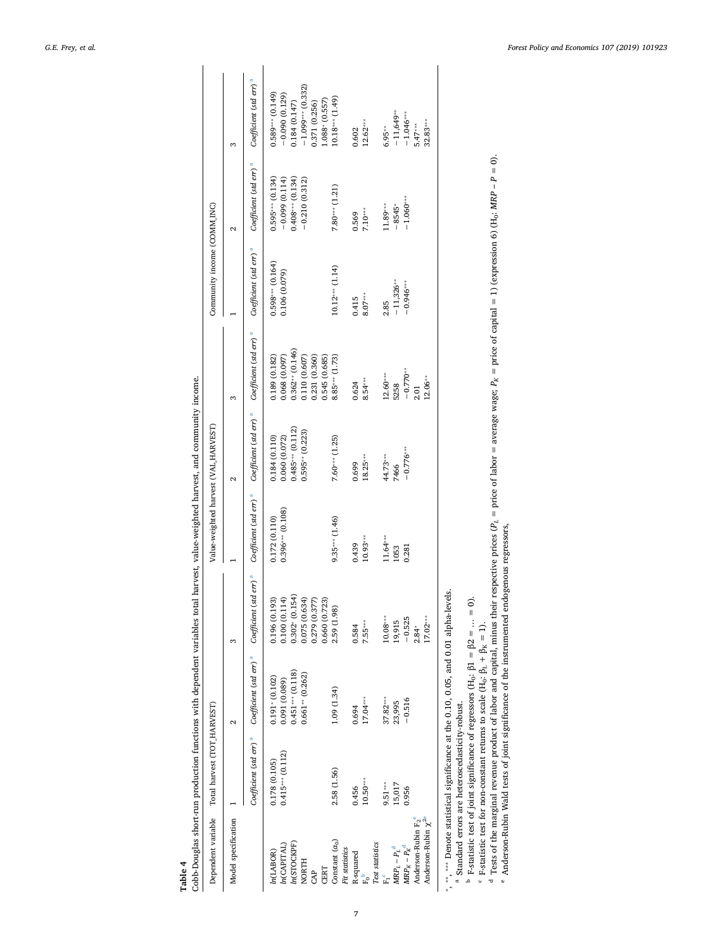Cobb-Douglas short-run production functions with dependent variables total harvest, value-weighted harvest, and community income. Cobb-Douglas short-run production functions with dependent variables total harvest, value-weighted harvest, and community income. **Table 4**

<span id="page-6-5"></span>

|                                            | Dependent variable Total harvest (TOT_HARVEST) |                                                                                                          |                 | Value-weighted harvest (VAL_HARVEST) |                                                                                                          |                     | Community income (COMM_INC)        |                                    |                                    |
|--------------------------------------------|------------------------------------------------|----------------------------------------------------------------------------------------------------------|-----------------|--------------------------------------|----------------------------------------------------------------------------------------------------------|---------------------|------------------------------------|------------------------------------|------------------------------------|
| Model specification                        |                                                | 2                                                                                                        | 3               |                                      | $\mathbf{\Omega}$                                                                                        | S                   |                                    | 2                                  | S                                  |
|                                            |                                                | Coefficient (std err) <sup>a</sup> Coefficient (std err) <sup>a</sup> Coefficient (std err) <sup>a</sup> |                 |                                      | Coefficient (std err) <sup>a</sup> Coefficient (std err) <sup>a</sup> Coefficient (std err) <sup>a</sup> |                     | Coefficient (std err) <sup>a</sup> | Coefficient (std err) <sup>a</sup> | Coefficient (std err) <sup>a</sup> |
| In(LABOR)                                  | 0.178 (0.105)                                  | $0.191 * (0.102)$                                                                                        | 0.196 (0.193)   | 0.172 (0.110)                        | 0.184 (0.110)                                                                                            | 0.189 (0.182)       | $0.598***$ (0.164)                 | $0.595***(0.134)$                  | $0.589***$ $(0.149)$               |
| tn(CAPITAL)                                | $0.415***$ $(0.112)$                           | 0.091(0.089)                                                                                             | 0.100(0.114)    | $0.396***$ (0.108)                   | 0.060 (0.072)                                                                                            | 0.068 (0.097)       | 0.106 (0.079)                      | $-0.099(0.114)$                    | $-0.090(0.129)$                    |
| h(STOCKPF)                                 |                                                | $0.451***$ (0.118)                                                                                       | $0.302*(0.154)$ |                                      | $0.485***$ (0.112)                                                                                       | $0.362**$ $(0.146)$ |                                    | $0.408***$ (0.134)                 | 0.184(0.147)                       |
| NORTH                                      |                                                | $0.661**$ (0.262)                                                                                        | 0.075(0.634)    |                                      | $0.595**$ $(0.223)$                                                                                      | 0.110 (0.607)       |                                    | $-0.210(0.312)$                    | $-1.099***$ (0.332)                |
| â                                          |                                                |                                                                                                          | 0.279 (0.37)    |                                      |                                                                                                          | 0.231 (0.360)       |                                    |                                    | 0.371 (0.256)                      |
| CERT                                       |                                                |                                                                                                          | 0.660(0.723)    |                                      |                                                                                                          | 0.545 (0.685)       |                                    |                                    | $.088*(0.557)$                     |
| Constant $(a_0)$                           | 2.58 (1.56)                                    | 1.09 (1.34)                                                                                              | 2.59 (1.98)     | $9.35***$ $(1.46)$                   | $7.60***$ (1.25)                                                                                         | $8.85***$ (1.73)    | $10.12***$ $(1.14)$                | $7.80***$ (1.21)                   | $(0.18***(1.49))$                  |
| Fit statistics                             |                                                |                                                                                                          |                 |                                      |                                                                                                          |                     |                                    |                                    |                                    |
| R-squared                                  | 0.456                                          | 0.694                                                                                                    | 0.584           | 0.439                                | 0.699                                                                                                    | 0.624               | 0.415                              | 0.569                              | 0.602                              |
|                                            | $10.50***$                                     | $17.04***$                                                                                               | $7.55***$       | $10.93***$                           | $18.25***$                                                                                               | $8.54***$           | $8.07***$                          | $7.10***$                          | $12.62***$                         |
| Test statistics                            |                                                |                                                                                                          |                 |                                      |                                                                                                          |                     |                                    |                                    |                                    |
|                                            | $9.51***$                                      | $37.82***$                                                                                               | $10.08***$      | $11.64***$                           | 44.73***                                                                                                 | $12.60***$          | 2.85                               | $1.89***$                          | $6.95***$                          |
| $MRP_L - P_L^d$                            | 15,017                                         | 23,995                                                                                                   | 19,915          | 1053                                 | 7466                                                                                                     | 5258                | $-11,326***$                       | $-8545$ <sup>*</sup>               | $-11,649***$                       |
| $MRP_K - P_K^d$                            | 0.956                                          | $-0.516$                                                                                                 | $-0.525$        | 0.281                                | $-0.776***$                                                                                              | $-0.770***$         | $-0.946***$                        | $-1.060***$                        | $-1.046***$                        |
| Anderson-Rubin F <sub>2</sub> <sup>e</sup> |                                                |                                                                                                          | $2.84*$         |                                      |                                                                                                          | 2.01                |                                    |                                    | $5.47***$                          |
| Anderson-Rubin $\chi^{2e}$                 |                                                |                                                                                                          | $17.02***$      |                                      |                                                                                                          | $12.06**$           |                                    |                                    | $32.83***$                         |
|                                            |                                                |                                                                                                          |                 |                                      |                                                                                                          |                     |                                    |                                    |                                    |

⁎ , ⁎⁎ , ⁎⁎⁎ Denote statistical significance at the 0.10, 0.05, and 0.01 alpha-levels.

Standard errors are heteroscedasticity-robust.

**P** F-statistic test of joint significance of regressors (H<sub>0</sub>:  $\beta$ 1 =  $\beta$ 2 = ... = 0).

F-statistic test for non-constant returns to scale  $(H_0: \beta_L + \beta_K = 1)$ .

abcde

<span id="page-6-4"></span><span id="page-6-3"></span><span id="page-6-2"></span><span id="page-6-1"></span><span id="page-6-0"></span><sup>4</sup> Tests of the marginal revenue product of labor and capital, minus their respective prices  $(P_L = \text{price of } \text{labor} = \text{average } \text{wage}, P_K = \text{price of } \text{cap} \text{ital} = 1)$  (expression 6) (H<sub>0</sub>: *MRP* – *P* = 0).

Anderson-Rubin Wald tests of joint significance of the instrumented endogenous regressors,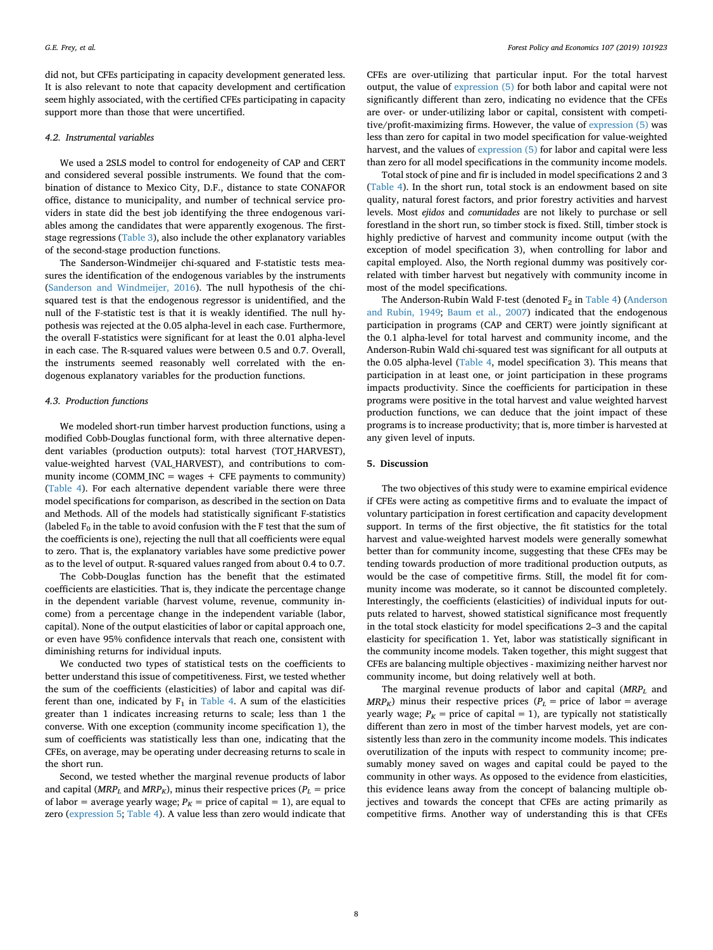did not, but CFEs participating in capacity development generated less. It is also relevant to note that capacity development and certification seem highly associated, with the certified CFEs participating in capacity support more than those that were uncertified.

#### *4.2. Instrumental variables*

We used a 2SLS model to control for endogeneity of CAP and CERT and considered several possible instruments. We found that the combination of distance to Mexico City, D.F., distance to state CONAFOR office, distance to municipality, and number of technical service providers in state did the best job identifying the three endogenous variables among the candidates that were apparently exogenous. The firststage regressions ([Table 3\)](#page-5-8), also include the other explanatory variables of the second-stage production functions.

The Sanderson-Windmeijer chi-squared and F-statistic tests measures the identification of the endogenous variables by the instruments ([Sanderson and Windmeijer, 2016](#page-10-28)). The null hypothesis of the chisquared test is that the endogenous regressor is unidentified, and the null of the F-statistic test is that it is weakly identified. The null hypothesis was rejected at the 0.05 alpha-level in each case. Furthermore, the overall F-statistics were significant for at least the 0.01 alpha-level in each case. The R-squared values were between 0.5 and 0.7. Overall, the instruments seemed reasonably well correlated with the endogenous explanatory variables for the production functions.

#### *4.3. Production functions*

We modeled short-run timber harvest production functions, using a modified Cobb-Douglas functional form, with three alternative dependent variables (production outputs): total harvest (TOT\_HARVEST), value-weighted harvest (VAL\_HARVEST), and contributions to community income  $(COMMუING = wages + CFE$  payments to community) ([Table 4](#page-6-5)). For each alternative dependent variable there were three model specifications for comparison, as described in the section on Data and Methods. All of the models had statistically significant F-statistics (labeled  $F_0$  in the table to avoid confusion with the F test that the sum of the coefficients is one), rejecting the null that all coefficients were equal to zero. That is, the explanatory variables have some predictive power as to the level of output. R-squared values ranged from about 0.4 to 0.7.

The Cobb-Douglas function has the benefit that the estimated coefficients are elasticities. That is, they indicate the percentage change in the dependent variable (harvest volume, revenue, community income) from a percentage change in the independent variable (labor, capital). None of the output elasticities of labor or capital approach one, or even have 95% confidence intervals that reach one, consistent with diminishing returns for individual inputs.

We conducted two types of statistical tests on the coefficients to better understand this issue of competitiveness. First, we tested whether the sum of the coefficients (elasticities) of labor and capital was different than one, indicated by  $F_1$  in [Table 4](#page-6-5). A sum of the elasticities greater than 1 indicates increasing returns to scale; less than 1 the converse. With one exception (community income specification 1), the sum of coefficients was statistically less than one, indicating that the CFEs, on average, may be operating under decreasing returns to scale in the short run.

Second, we tested whether the marginal revenue products of labor and capital ( $MRP<sub>L</sub>$  and  $MRP<sub>K</sub>$ ), minus their respective prices ( $P<sub>L</sub>$  = price of labor = average yearly wage;  $P_K$  = price of capital = 1), are equal to zero ([expression 5;](#page-4-2) [Table 4\)](#page-6-5). A value less than zero would indicate that

CFEs are over-utilizing that particular input. For the total harvest output, the value of [expression \(5\)](#page-4-2) for both labor and capital were not significantly different than zero, indicating no evidence that the CFEs are over- or under-utilizing labor or capital, consistent with competitive/profit-maximizing firms. However, the value of [expression \(5\)](#page-4-2) was less than zero for capital in two model specification for value-weighted harvest, and the values of [expression \(5\)](#page-4-2) for labor and capital were less than zero for all model specifications in the community income models.

Total stock of pine and fir is included in model specifications 2 and 3 ([Table 4](#page-6-5)). In the short run, total stock is an endowment based on site quality, natural forest factors, and prior forestry activities and harvest levels. Most *ejidos* and *comunidades* are not likely to purchase or sell forestland in the short run, so timber stock is fixed. Still, timber stock is highly predictive of harvest and community income output (with the exception of model specification 3), when controlling for labor and capital employed. Also, the North regional dummy was positively correlated with timber harvest but negatively with community income in most of the model specifications.

The Anderson-Rubin Wald F-test (denoted  $F_2$  in [Table 4\)](#page-6-5) [\(Anderson](#page-9-19) [and Rubin, 1949](#page-9-19); [Baum et al., 2007](#page-9-17)) indicated that the endogenous participation in programs (CAP and CERT) were jointly significant at the 0.1 alpha-level for total harvest and community income, and the Anderson-Rubin Wald chi-squared test was significant for all outputs at the 0.05 alpha-level ([Table 4,](#page-6-5) model specification 3). This means that participation in at least one, or joint participation in these programs impacts productivity. Since the coefficients for participation in these programs were positive in the total harvest and value weighted harvest production functions, we can deduce that the joint impact of these programs is to increase productivity; that is, more timber is harvested at any given level of inputs.

#### **5. Discussion**

The two objectives of this study were to examine empirical evidence if CFEs were acting as competitive firms and to evaluate the impact of voluntary participation in forest certification and capacity development support. In terms of the first objective, the fit statistics for the total harvest and value-weighted harvest models were generally somewhat better than for community income, suggesting that these CFEs may be tending towards production of more traditional production outputs, as would be the case of competitive firms. Still, the model fit for community income was moderate, so it cannot be discounted completely. Interestingly, the coefficients (elasticities) of individual inputs for outputs related to harvest, showed statistical significance most frequently in the total stock elasticity for model specifications 2–3 and the capital elasticity for specification 1. Yet, labor was statistically significant in the community income models. Taken together, this might suggest that CFEs are balancing multiple objectives - maximizing neither harvest nor community income, but doing relatively well at both.

The marginal revenue products of labor and capital (*MRPL* and  $MRP_K$ ) minus their respective prices ( $P_L$  = price of labor = average yearly wage;  $P_K$  = price of capital = 1), are typically not statistically different than zero in most of the timber harvest models, yet are consistently less than zero in the community income models. This indicates overutilization of the inputs with respect to community income; presumably money saved on wages and capital could be payed to the community in other ways. As opposed to the evidence from elasticities, this evidence leans away from the concept of balancing multiple objectives and towards the concept that CFEs are acting primarily as competitive firms. Another way of understanding this is that CFEs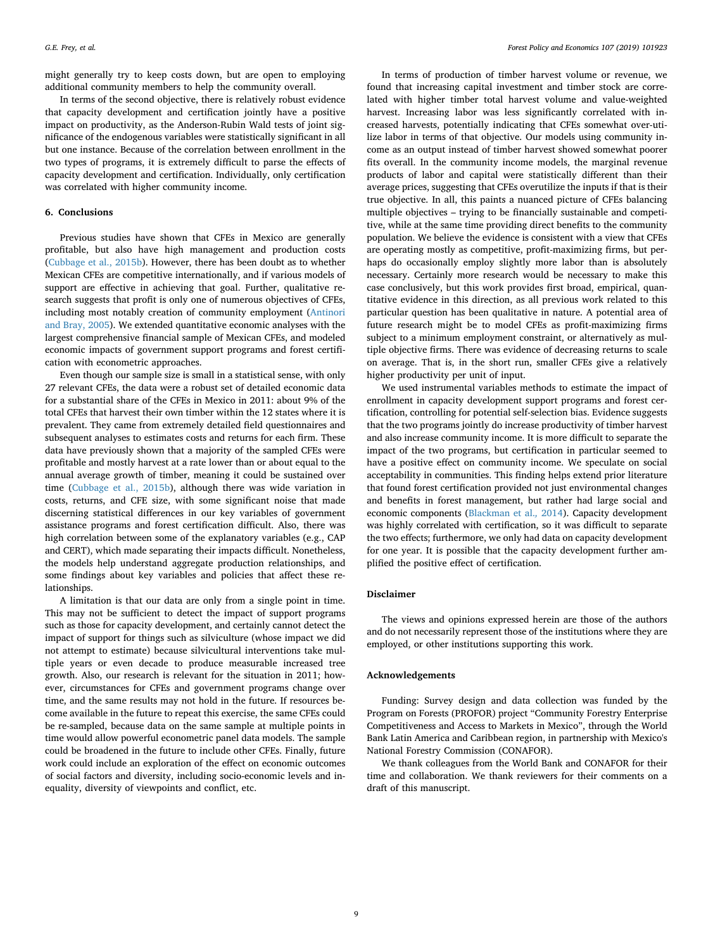might generally try to keep costs down, but are open to employing additional community members to help the community overall.

In terms of the second objective, there is relatively robust evidence that capacity development and certification jointly have a positive impact on productivity, as the Anderson-Rubin Wald tests of joint significance of the endogenous variables were statistically significant in all but one instance. Because of the correlation between enrollment in the two types of programs, it is extremely difficult to parse the effects of capacity development and certification. Individually, only certification was correlated with higher community income.

#### **6. Conclusions**

Previous studies have shown that CFEs in Mexico are generally profitable, but also have high management and production costs ([Cubbage et al., 2015b\)](#page-10-5). However, there has been doubt as to whether Mexican CFEs are competitive internationally, and if various models of support are effective in achieving that goal. Further, qualitative research suggests that profit is only one of numerous objectives of CFEs, including most notably creation of community employment [\(Antinori](#page-9-1) [and Bray, 2005\)](#page-9-1). We extended quantitative economic analyses with the largest comprehensive financial sample of Mexican CFEs, and modeled economic impacts of government support programs and forest certification with econometric approaches.

Even though our sample size is small in a statistical sense, with only 27 relevant CFEs, the data were a robust set of detailed economic data for a substantial share of the CFEs in Mexico in 2011: about 9% of the total CFEs that harvest their own timber within the 12 states where it is prevalent. They came from extremely detailed field questionnaires and subsequent analyses to estimates costs and returns for each firm. These data have previously shown that a majority of the sampled CFEs were profitable and mostly harvest at a rate lower than or about equal to the annual average growth of timber, meaning it could be sustained over time [\(Cubbage et al., 2015b\)](#page-10-5), although there was wide variation in costs, returns, and CFE size, with some significant noise that made discerning statistical differences in our key variables of government assistance programs and forest certification difficult. Also, there was high correlation between some of the explanatory variables (e.g., CAP and CERT), which made separating their impacts difficult. Nonetheless, the models help understand aggregate production relationships, and some findings about key variables and policies that affect these relationships.

A limitation is that our data are only from a single point in time. This may not be sufficient to detect the impact of support programs such as those for capacity development, and certainly cannot detect the impact of support for things such as silviculture (whose impact we did not attempt to estimate) because silvicultural interventions take multiple years or even decade to produce measurable increased tree growth. Also, our research is relevant for the situation in 2011; however, circumstances for CFEs and government programs change over time, and the same results may not hold in the future. If resources become available in the future to repeat this exercise, the same CFEs could be re-sampled, because data on the same sample at multiple points in time would allow powerful econometric panel data models. The sample could be broadened in the future to include other CFEs. Finally, future work could include an exploration of the effect on economic outcomes of social factors and diversity, including socio-economic levels and inequality, diversity of viewpoints and conflict, etc.

In terms of production of timber harvest volume or revenue, we found that increasing capital investment and timber stock are correlated with higher timber total harvest volume and value-weighted harvest. Increasing labor was less significantly correlated with increased harvests, potentially indicating that CFEs somewhat over-utilize labor in terms of that objective. Our models using community income as an output instead of timber harvest showed somewhat poorer fits overall. In the community income models, the marginal revenue products of labor and capital were statistically different than their average prices, suggesting that CFEs overutilize the inputs if that is their true objective. In all, this paints a nuanced picture of CFEs balancing multiple objectives – trying to be financially sustainable and competitive, while at the same time providing direct benefits to the community population. We believe the evidence is consistent with a view that CFEs are operating mostly as competitive, profit-maximizing firms, but perhaps do occasionally employ slightly more labor than is absolutely necessary. Certainly more research would be necessary to make this case conclusively, but this work provides first broad, empirical, quantitative evidence in this direction, as all previous work related to this particular question has been qualitative in nature. A potential area of future research might be to model CFEs as profit-maximizing firms subject to a minimum employment constraint, or alternatively as multiple objective firms. There was evidence of decreasing returns to scale on average. That is, in the short run, smaller CFEs give a relatively higher productivity per unit of input.

We used instrumental variables methods to estimate the impact of enrollment in capacity development support programs and forest certification, controlling for potential self-selection bias. Evidence suggests that the two programs jointly do increase productivity of timber harvest and also increase community income. It is more difficult to separate the impact of the two programs, but certification in particular seemed to have a positive effect on community income. We speculate on social acceptability in communities. This finding helps extend prior literature that found forest certification provided not just environmental changes and benefits in forest management, but rather had large social and economic components ([Blackman et al.](#page-9-4)*,* 2014). Capacity development was highly correlated with certification, so it was difficult to separate the two effects; furthermore, we only had data on capacity development for one year. It is possible that the capacity development further amplified the positive effect of certification.

## **Disclaimer**

The views and opinions expressed herein are those of the authors and do not necessarily represent those of the institutions where they are employed, or other institutions supporting this work.

#### **Acknowledgements**

Funding: Survey design and data collection was funded by the Program on Forests (PROFOR) project "Community Forestry Enterprise Competitiveness and Access to Markets in Mexico", through the World Bank Latin America and Caribbean region, in partnership with Mexico's National Forestry Commission (CONAFOR).

We thank colleagues from the World Bank and CONAFOR for their time and collaboration. We thank reviewers for their comments on a draft of this manuscript.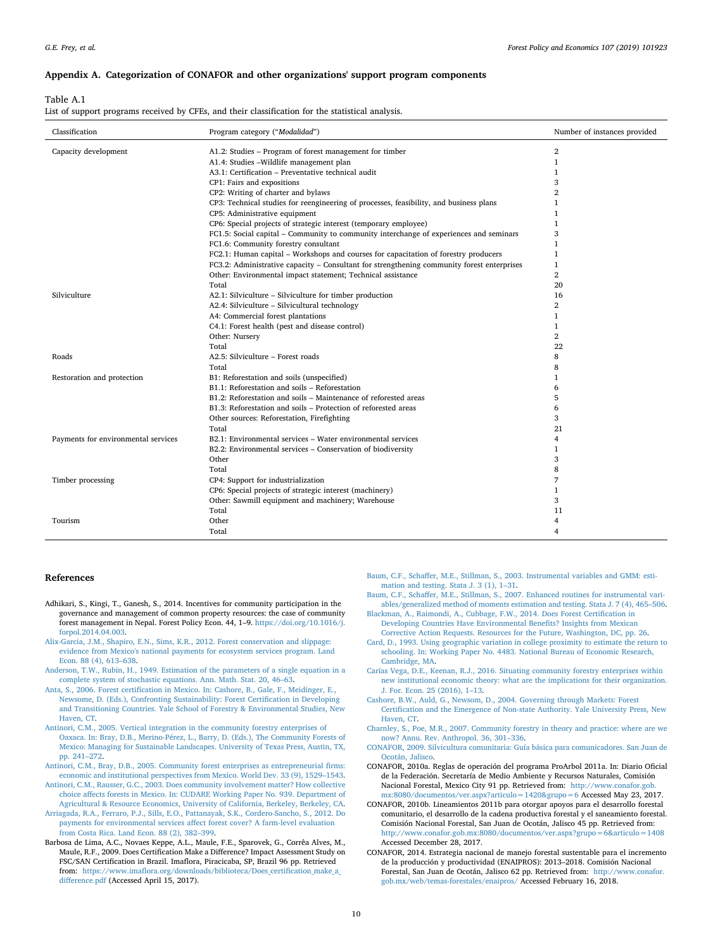# **Appendix A. Categorization of CONAFOR and other organizations' support program components**

#### Table A.1

List of support programs received by CFEs, and their classification for the statistical analysis.

| Classification                      | Program category ("Modalidad")                                                             | Number of instances provided |
|-------------------------------------|--------------------------------------------------------------------------------------------|------------------------------|
| Capacity development                | A1.2: Studies - Program of forest management for timber                                    | $\mathbf{2}$                 |
|                                     | A1.4: Studies -Wildlife management plan                                                    | 1                            |
|                                     | A3.1: Certification - Preventative technical audit                                         | $\mathbf{1}$                 |
|                                     | CP1: Fairs and expositions                                                                 | 3                            |
|                                     | CP2: Writing of charter and bylaws                                                         | 2                            |
|                                     | CP3: Technical studies for reengineering of processes, feasibility, and business plans     | $\mathbf{1}$                 |
|                                     | CP5: Administrative equipment                                                              | 1                            |
|                                     | CP6: Special projects of strategic interest (temporary employee)                           | 1                            |
|                                     | FC1.5: Social capital – Community to community interchange of experiences and seminars     | 3                            |
|                                     | FC1.6: Community forestry consultant                                                       | 1                            |
|                                     | FC2.1: Human capital – Workshops and courses for capacitation of forestry producers        | $\mathbf{1}$                 |
|                                     | FC3.2: Administrative capacity – Consultant for strengthening community forest enterprises | $\mathbf{1}$                 |
|                                     | Other: Environmental impact statement; Technical assistance                                | $\mathbf{2}$                 |
|                                     | Total                                                                                      | 20                           |
| Silviculture                        | A2.1: Silviculture - Silviculture for timber production                                    | 16                           |
|                                     | A2.4: Silviculture - Silvicultural technology                                              | $\overline{2}$               |
|                                     | A4: Commercial forest plantations                                                          | $\mathbf{1}$                 |
|                                     | C4.1: Forest health (pest and disease control)                                             | $\mathbf{1}$                 |
|                                     | Other: Nursery                                                                             | $\overline{2}$               |
|                                     | Total                                                                                      | 22                           |
| Roads                               | A2.5: Silviculture - Forest roads                                                          | 8                            |
|                                     | Total                                                                                      | 8                            |
| Restoration and protection          | B1: Reforestation and soils (unspecified)                                                  | 1                            |
|                                     | B1.1: Reforestation and soils - Reforestation                                              | 6                            |
|                                     | B1.2: Reforestation and soils – Maintenance of reforested areas                            | 5                            |
|                                     | B1.3: Reforestation and soils - Protection of reforested areas                             | 6                            |
|                                     | Other sources: Reforestation, Firefighting                                                 | 3                            |
|                                     | Total                                                                                      | 21                           |
| Payments for environmental services | B2.1: Environmental services - Water environmental services                                | 4                            |
|                                     | B2.2: Environmental services - Conservation of biodiversity                                | 1                            |
|                                     | Other                                                                                      | 3                            |
|                                     | Total                                                                                      | 8                            |
| Timber processing                   | CP4: Support for industrialization                                                         | 7                            |
|                                     | CP6: Special projects of strategic interest (machinery)                                    | $\mathbf{1}$                 |
|                                     | Other: Sawmill equipment and machinery; Warehouse                                          | 3                            |
|                                     | Total                                                                                      | 11                           |
| Tourism                             | Other                                                                                      | 4                            |
|                                     | Total                                                                                      | 4                            |

#### **References**

- <span id="page-9-11"></span>Adhikari, S., Kingi, T., Ganesh, S., 2014. Incentives for community participation in the governance and management of common property resources: the case of community forest management in Nepal. Forest Policy Econ. 44, 1–9. [https://doi.org/10.1016/j.](https://doi.org/10.1016/j.forpol.2014.04.003) [forpol.2014.04.003](https://doi.org/10.1016/j.forpol.2014.04.003).
- <span id="page-9-9"></span>[Alix-Garcia, J.M., Shapiro, E.N., Sims, K.R., 2012. Forest conservation and slippage:](http://refhub.elsevier.com/S1389-9341(19)30281-3/rf0010) [evidence from Mexico's national payments for ecosystem services program. Land](http://refhub.elsevier.com/S1389-9341(19)30281-3/rf0010) [Econ. 88 \(4\), 613–638.](http://refhub.elsevier.com/S1389-9341(19)30281-3/rf0010)
- <span id="page-9-19"></span>[Anderson, T.W., Rubin, H., 1949. Estimation of the parameters of a single equation in a](http://refhub.elsevier.com/S1389-9341(19)30281-3/rf0015) [complete system of stochastic equations. Ann. Math. Stat. 20, 46–63.](http://refhub.elsevier.com/S1389-9341(19)30281-3/rf0015)
- <span id="page-9-13"></span>[Anta, S., 2006. Forest certification in Mexico. In: Cashore, B., Gale, F., Meidinger, E.,](http://refhub.elsevier.com/S1389-9341(19)30281-3/rf0020) [Newsome, D. \(Eds.\), Confronting Sustainability: Forest Certification in Developing](http://refhub.elsevier.com/S1389-9341(19)30281-3/rf0020) [and Transitioning Countries. Yale School of Forestry & Environmental Studies, New](http://refhub.elsevier.com/S1389-9341(19)30281-3/rf0020) [Haven, CT](http://refhub.elsevier.com/S1389-9341(19)30281-3/rf0020).
- <span id="page-9-5"></span>[Antinori, C.M., 2005. Vertical integration in the community forestry enterprises of](http://refhub.elsevier.com/S1389-9341(19)30281-3/rf0025) [Oaxaca. In: Bray, D.B., Merino-Pérez, L., Barry, D. \(Eds.\), The Community Forests of](http://refhub.elsevier.com/S1389-9341(19)30281-3/rf0025) [Mexico: Managing for Sustainable Landscapes. University of Texas Press, Austin, TX,](http://refhub.elsevier.com/S1389-9341(19)30281-3/rf0025) [pp. 241–272](http://refhub.elsevier.com/S1389-9341(19)30281-3/rf0025).
- <span id="page-9-1"></span>[Antinori, C.M., Bray, D.B., 2005. Community forest enterprises as entrepreneurial firms:](http://refhub.elsevier.com/S1389-9341(19)30281-3/rf0030) [economic and institutional perspectives from Mexico. World Dev. 33 \(9\), 1529–1543.](http://refhub.elsevier.com/S1389-9341(19)30281-3/rf0030)
- <span id="page-9-0"></span>[Antinori, C.M., Rausser, G.C., 2003. Does community involvement matter? How collective](http://refhub.elsevier.com/S1389-9341(19)30281-3/rf0035) [choice affects forests in Mexico. In: CUDARE Working Paper No. 939. Department of](http://refhub.elsevier.com/S1389-9341(19)30281-3/rf0035) [Agricultural & Resource Economics, University of California, Berkeley, Berkeley, CA.](http://refhub.elsevier.com/S1389-9341(19)30281-3/rf0035)
- <span id="page-9-10"></span>[Arriagada, R.A., Ferraro, P.J., Sills, E.O., Pattanayak, S.K., Cordero-Sancho, S., 2012. Do](http://refhub.elsevier.com/S1389-9341(19)30281-3/rf0040) [payments for environmental services affect forest cover? A farm-level evaluation](http://refhub.elsevier.com/S1389-9341(19)30281-3/rf0040) [from Costa Rica. Land Econ. 88 \(2\), 382–399.](http://refhub.elsevier.com/S1389-9341(19)30281-3/rf0040)
- <span id="page-9-15"></span>Barbosa de Lima, A.C., Novaes Keppe, A.L., Maule, F.E., Sparovek, G., Corrêa Alves, M., Maule, R.F., 2009. Does Certification Make a Difference? Impact Assessment Study on FSC/SAN Certification in Brazil. Imaflora, Piracicaba, SP, Brazil 96 pp. Retrieved from: [https://www.imaflora.org/downloads/biblioteca/Does\\_certification\\_make\\_a\\_](https://www.imaflora.org/downloads/biblioteca/Does_certification_make_a_difference.pdf) [difference.pdf](https://www.imaflora.org/downloads/biblioteca/Does_certification_make_a_difference.pdf) (Accessed April 15, 2017).

<span id="page-9-16"></span>[Baum, C.F., Schaffer, M.E., Stillman, S., 2003. Instrumental variables and GMM: esti](http://refhub.elsevier.com/S1389-9341(19)30281-3/rf0050)[mation and testing. Stata J. 3 \(1\), 1–31](http://refhub.elsevier.com/S1389-9341(19)30281-3/rf0050).

<span id="page-9-17"></span>[Baum, C.F., Schaffer, M.E., Stillman, S., 2007. Enhanced routines for instrumental vari](http://refhub.elsevier.com/S1389-9341(19)30281-3/rf0055)[ables/generalized method of moments estimation and testing. Stata J. 7 \(4\), 465–506.](http://refhub.elsevier.com/S1389-9341(19)30281-3/rf0055)

- <span id="page-9-14"></span>[Blackman, A., Raimondi, A., Cubbage, F.W., 2014. Does Forest Certification in](http://refhub.elsevier.com/S1389-9341(19)30281-3/rf0060) [Developing Countries Have Environmental Benefits? Insights from Mexican](http://refhub.elsevier.com/S1389-9341(19)30281-3/rf0060) [Corrective Action Requests. Resources for the Future, Washington, DC, pp. 26.](http://refhub.elsevier.com/S1389-9341(19)30281-3/rf0060)
- <span id="page-9-18"></span>[Card, D., 1993. Using geographic variation in college proximity to estimate the return to](http://refhub.elsevier.com/S1389-9341(19)30281-3/rf0065) [schooling. In: Working Paper No. 4483. National Bureau of Economic Research,](http://refhub.elsevier.com/S1389-9341(19)30281-3/rf0065) [Cambridge, MA](http://refhub.elsevier.com/S1389-9341(19)30281-3/rf0065).
- <span id="page-9-2"></span>[Carías Vega, D.E., Keenan, R.J., 2016. Situating community forestry enterprises within](http://refhub.elsevier.com/S1389-9341(19)30281-3/rf0070) [new institutional economic theory: what are the implications for their organization.](http://refhub.elsevier.com/S1389-9341(19)30281-3/rf0070) [J. For. Econ. 25 \(2016\), 1–13.](http://refhub.elsevier.com/S1389-9341(19)30281-3/rf0070)
- <span id="page-9-12"></span>[Cashore, B.W., Auld, G., Newsom, D., 2004. Governing through Markets: Forest](http://refhub.elsevier.com/S1389-9341(19)30281-3/rf0075) [Certification and the Emergence of Non-state Authority. Yale University Press, New](http://refhub.elsevier.com/S1389-9341(19)30281-3/rf0075) [Haven, CT](http://refhub.elsevier.com/S1389-9341(19)30281-3/rf0075).
- <span id="page-9-3"></span>[Charnley, S., Poe, M.R., 2007. Community forestry in theory and practice: where are we](http://refhub.elsevier.com/S1389-9341(19)30281-3/rf0080) [now? Annu. Rev. Anthropol. 36, 301–336.](http://refhub.elsevier.com/S1389-9341(19)30281-3/rf0080)
- <span id="page-9-6"></span>[CONAFOR, 2009. Silvicultura comunitaria: Guía básica para comunicadores. San Juan de](http://refhub.elsevier.com/S1389-9341(19)30281-3/rf0085) [Ocotán, Jalisco.](http://refhub.elsevier.com/S1389-9341(19)30281-3/rf0085)
- <span id="page-9-7"></span>CONAFOR, 2010a. Reglas de operación del programa ProArbol 2011a. In: Diario Oficial de la Federación. Secretaría de Medio Ambiente y Recursos Naturales, Comisión Nacional Forestal, Mexico City 91 pp. Retrieved from: [http://www.conafor.gob.](http://www.conafor.gob.mx:8080/documentos/ver.aspx?articulo=1420&grupo=6) [mx:8080/documentos/ver.aspx?articulo=1420&grupo=6](http://www.conafor.gob.mx:8080/documentos/ver.aspx?articulo=1420&grupo=6) Accessed May 23, 2017.
- <span id="page-9-8"></span>CONAFOR, 2010b. Lineamientos 2011b para otorgar apoyos para el desarrollo forestal comunitario, el desarrollo de la cadena productiva forestal y el saneamiento forestal. Comisión Nacional Forestal, San Juan de Ocotán, Jalisco 45 pp. Retrieved from: <http://www.conafor.gob.mx:8080/documentos/ver.aspx?grupo=6&articulo=1408> Accessed December 28, 2017.
- <span id="page-9-4"></span>CONAFOR, 2014. Estrategia nacional de manejo forestal sustentable para el incremento de la producción y productividad (ENAIPROS): 2013–2018. Comisión Nacional Forestal, San Juan de Ocotán, Jalisco 62 pp. Retrieved from: [http://www.conafor.](http://www.conafor.gob.mx/web/temas-forestales/enaipros/) [gob.mx/web/temas-forestales/enaipros/](http://www.conafor.gob.mx/web/temas-forestales/enaipros/) Accessed February 16, 2018.